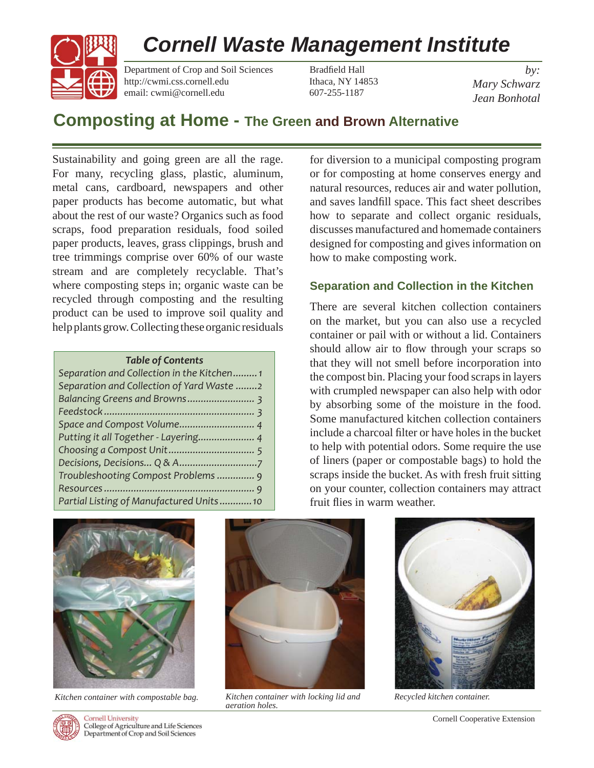# *Cornell Waste Management Institute*



Department of Crop and Soil Sciences Bradfield Hall http://cwmi.css.cornell.edu Ithaca, NY 14853 email: cwmi@cornell.edu 607-255-1187

*by: Mary Schwarz Jean Bonhotal*

# **Composting at Home - The Green and Brown Alternative**

Sustainability and going green are all the rage. For many, recycling glass, plastic, aluminum, metal cans, cardboard, newspapers and other paper products has become automatic, but what about the rest of our waste? Organics such as food scraps, food preparation residuals, food soiled paper products, leaves, grass clippings, brush and tree trimmings comprise over 60% of our waste stream and are completely recyclable. That's where composting steps in; organic waste can be recycled through composting and the resulting product can be used to improve soil quality and help plants grow. Collecting these organic residuals

#### *Table of Contents*

| Separation and Collection in the Kitchen1 |  |
|-------------------------------------------|--|
| Separation and Collection of Yard Waste 2 |  |
|                                           |  |
|                                           |  |
|                                           |  |
| Putting it all Together - Layering 4      |  |
|                                           |  |
|                                           |  |
| Troubleshooting Compost Problems  9       |  |
|                                           |  |
| Partial Listing of Manufactured Units10   |  |
|                                           |  |

for diversion to a municipal composting program or for composting at home conserves energy and natural resources, reduces air and water pollution, and saves landfill space. This fact sheet describes how to separate and collect organic residuals, discusses manufactured and homemade containers designed for composting and gives information on how to make composting work.

# **Separation and Collection in the Kitchen**

There are several kitchen collection containers on the market, but you can also use a recycled container or pail with or without a lid. Containers should allow air to flow through your scraps so that they will not smell before incorporation into the compost bin. Placing your food scraps in layers with crumpled newspaper can also help with odor by absorbing some of the moisture in the food. Some manufactured kitchen collection containers include a charcoal filter or have holes in the bucket to help with potential odors. Some require the use of liners (paper or compostable bags) to hold the scraps inside the bucket. As with fresh fruit sitting on your counter, collection containers may attract fruit flies in warm weather.



*Kitchen container with compostable bag. Kitchen container with locking lid and* 



*aeration holes.*



*Recycled kitchen container.*



**Cornell University** College of Agriculture and Life Sciences Department of Crop and Soil Sciences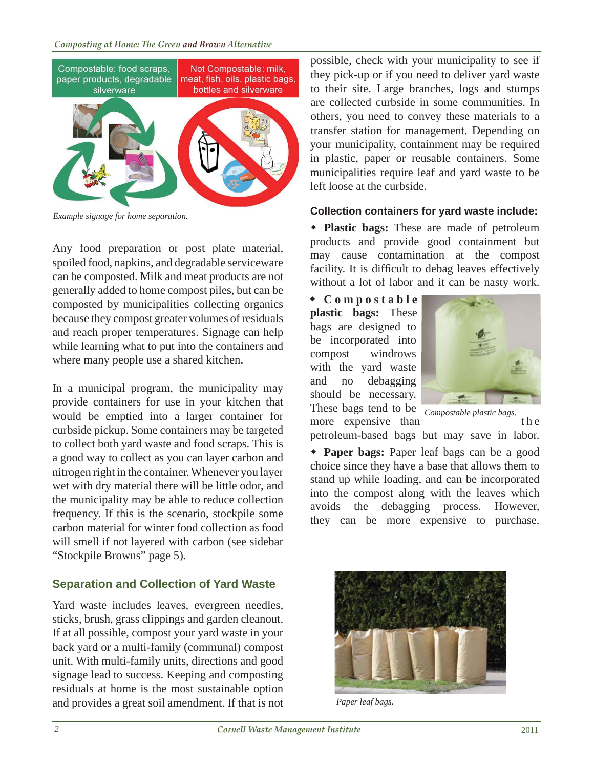

*Example signage for home separation.*

Any food preparation or post plate material, spoiled food, napkins, and degradable serviceware can be composted. Milk and meat products are not generally added to home compost piles, but can be composted by municipalities collecting organics because they compost greater volumes of residuals and reach proper temperatures. Signage can help while learning what to put into the containers and where many people use a shared kitchen.

In a municipal program, the municipality may provide containers for use in your kitchen that would be emptied into a larger container for curbside pickup. Some containers may be targeted to collect both yard waste and food scraps. This is a good way to collect as you can layer carbon and nitrogen right in the container. Whenever you layer wet with dry material there will be little odor, and the municipality may be able to reduce collection frequency. If this is the scenario, stockpile some carbon material for winter food collection as food will smell if not layered with carbon (see sidebar "Stockpile Browns" page 5).

# **Separation and Collection of Yard Waste**

Yard waste includes leaves, evergreen needles, sticks, brush, grass clippings and garden cleanout. If at all possible, compost your yard waste in your back yard or a multi-family (communal) compost unit. With multi-family units, directions and good signage lead to success. Keeping and composting residuals at home is the most sustainable option and provides a great soil amendment. If that is not

possible, check with your municipality to see if they pick-up or if you need to deliver yard waste to their site. Large branches, logs and stumps are collected curbside in some communities. In others, you need to convey these materials to a transfer station for management. Depending on your municipality, containment may be required in plastic, paper or reusable containers. Some municipalities require leaf and yard waste to be left loose at the curbside.

### **Collection containers for yard waste include:**

 **Plastic bags:** These are made of petroleum products and provide good containment but may cause contamination at the compost facility. It is difficult to debag leaves effectively without a lot of labor and it can be nasty work.

 **C o m p o s t a b l e plastic bags:** These bags are designed to be incorporated into compost windrows with the yard waste and no debagging should be necessary. These bags tend to be



more expensive than the the petroleum-based bags but may save in labor. *Compostable plastic bags.*

 **Paper bags:** Paper leaf bags can be a good choice since they have a base that allows them to stand up while loading, and can be incorporated into the compost along with the leaves which avoids the debagging process. However, they can be more expensive to purchase.



*Paper leaf bags.*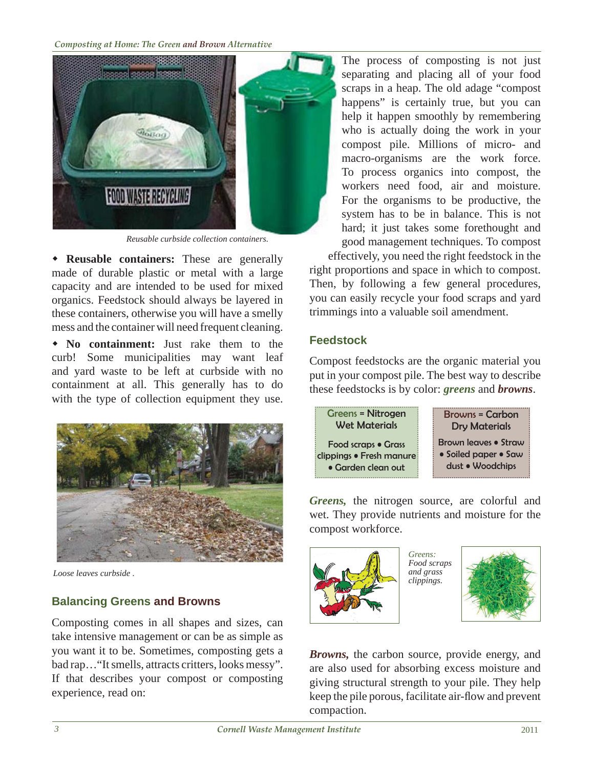

*Reusable curbside collection containers.*

 **Reusable containers:** These are generally made of durable plastic or metal with a large capacity and are intended to be used for mixed organics. Feedstock should always be layered in these containers, otherwise you will have a smelly mess and the container will need frequent cleaning.

 **No containment:** Just rake them to the curb! Some municipalities may want leaf and yard waste to be left at curbside with no containment at all. This generally has to do with the type of collection equipment they use.



*Loose leaves curbside .*

# **Balancing Greens and Browns**

Composting comes in all shapes and sizes, can take intensive management or can be as simple as you want it to be. Sometimes, composting gets a bad rap…"It smells, attracts critters, looks messy". If that describes your compost or composting experience, read on:

The process of composting is not just separating and placing all of your food scraps in a heap. The old adage "compost happens" is certainly true, but you can help it happen smoothly by remembering who is actually doing the work in your compost pile. Millions of micro- and macro-organisms are the work force. To process organics into compost, the workers need food, air and moisture. For the organisms to be productive, the system has to be in balance. This is not hard; it just takes some forethought and good management techniques. To compost

effectively, you need the right feedstock in the right proportions and space in which to compost. Then, by following a few general procedures, you can easily recycle your food scraps and yard trimmings into a valuable soil amendment.

# **Feedstock**

Compost feedstocks are the organic material you put in your compost pile. The best way to describe these feedstocks is by color: *greens* and *browns*.



*Greens,* the nitrogen source, are colorful and wet. They provide nutrients and moisture for the compost workforce.



*Food scraps and grass clippings.*



*Browns,* the carbon source, provide energy, and are also used for absorbing excess moisture and giving structural strength to your pile. They help keep the pile porous, facilitate air-flow and prevent compaction.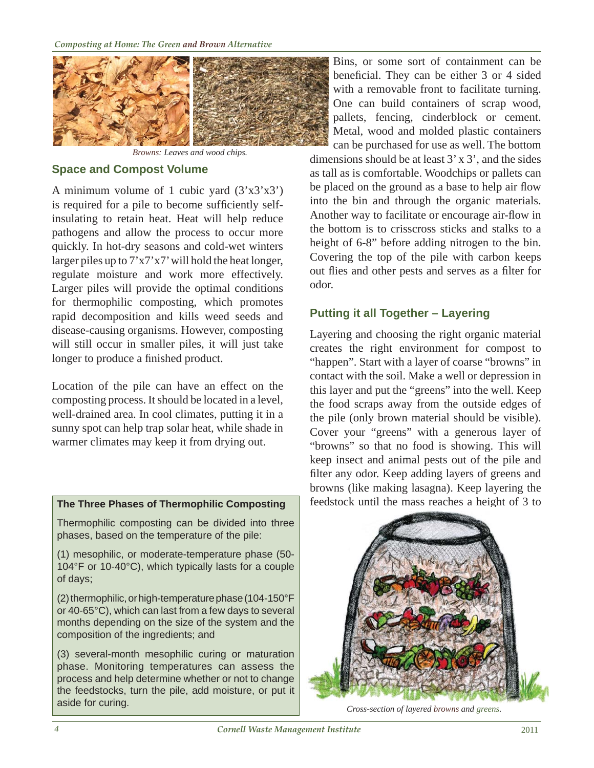

*Browns: Leaves and wood chips.*

# **Space and Compost Volume**

A minimum volume of 1 cubic yard  $(3'x3'x3')$ is required for a pile to become sufficiently selfinsulating to retain heat. Heat will help reduce pathogens and allow the process to occur more quickly. In hot-dry seasons and cold-wet winters larger piles up to 7'x7'x7' will hold the heat longer, regulate moisture and work more effectively. Larger piles will provide the optimal conditions for thermophilic composting, which promotes rapid decomposition and kills weed seeds and disease-causing organisms. However, composting will still occur in smaller piles, it will just take longer to produce a finished product.

Location of the pile can have an effect on the composting process. It should be located in a level, well-drained area. In cool climates, putting it in a sunny spot can help trap solar heat, while shade in warmer climates may keep it from drying out.

Thermophilic composting can be divided into three phases, based on the temperature of the pile:

(1) mesophilic, or moderate-temperature phase (50- 104°F or 10-40°C), which typically lasts for a couple of days;

(2) thermophilic, or high-temperature phase (104-150°F or 40-65°C), which can last from a few days to several months depending on the size of the system and the composition of the ingredients; and

(3) several-month mesophilic curing or maturation phase. Monitoring temperatures can assess the process and help determine whether or not to change the feedstocks, turn the pile, add moisture, or put it aside for curing.

Bins, or some sort of containment can be beneficial. They can be either 3 or 4 sided with a removable front to facilitate turning. One can build containers of scrap wood, pallets, fencing, cinderblock or cement. Metal, wood and molded plastic containers

can be purchased for use as well. The bottom dimensions should be at least 3' x 3', and the sides as tall as is comfortable. Woodchips or pallets can be placed on the ground as a base to help air flow into the bin and through the organic materials. Another way to facilitate or encourage air-flow in the bottom is to crisscross sticks and stalks to a height of 6-8" before adding nitrogen to the bin. Covering the top of the pile with carbon keeps out flies and other pests and serves as a filter for odor.

# **Putting it all Together – Layering**

Layering and choosing the right organic material creates the right environment for compost to "happen". Start with a layer of coarse "browns" in contact with the soil. Make a well or depression in this layer and put the "greens" into the well. Keep the food scraps away from the outside edges of the pile (only brown material should be visible). Cover your "greens" with a generous layer of "browns" so that no food is showing. This will keep insect and animal pests out of the pile and filter any odor. Keep adding layers of greens and browns (like making lasagna). Keep layering the **The Three Phases of Thermophilic Composting** feedstock until the mass reaches a height of 3 to



*Cross-section of layered browns and greens.*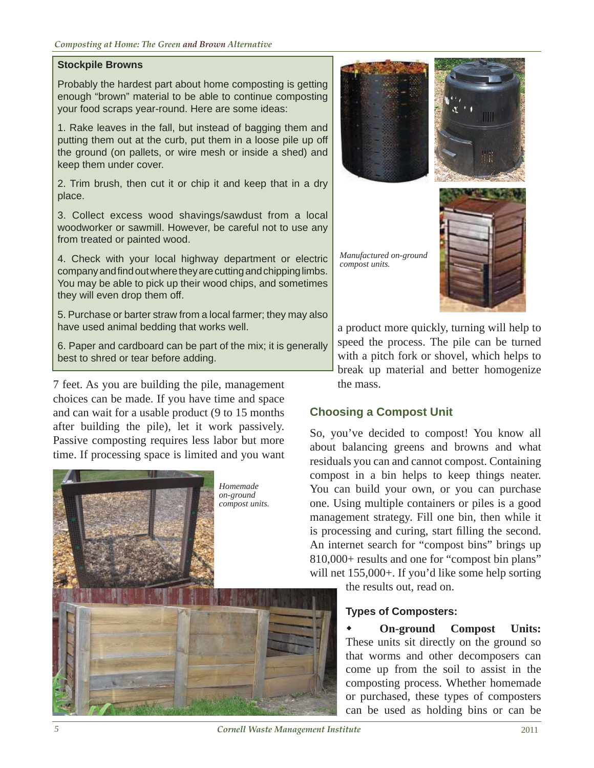### **Stockpile Browns**

Probably the hardest part about home composting is getting enough "brown" material to be able to continue composting your food scraps year-round. Here are some ideas:

1. Rake leaves in the fall, but instead of bagging them and putting them out at the curb, put them in a loose pile up off the ground (on pallets, or wire mesh or inside a shed) and keep them under cover.

2. Trim brush, then cut it or chip it and keep that in a dry place.

3. Collect excess wood shavings/sawdust from a local woodworker or sawmill. However, be careful not to use any from treated or painted wood.

4. Check with your local highway department or electric company and find out where they are cutting and chipping limbs. You may be able to pick up their wood chips, and sometimes they will even drop them off.

5. Purchase or barter straw from a local farmer; they may also have used animal bedding that works well.

6. Paper and cardboard can be part of the mix; it is generally best to shred or tear before adding.

7 feet. As you are building the pile, management choices can be made. If you have time and space and can wait for a usable product (9 to 15 months after building the pile), let it work passively. Passive composting requires less labor but more time. If processing space is limited and you want





a product more quickly, turning will help to speed the process. The pile can be turned with a pitch fork or shovel, which helps to break up material and better homogenize the mass.

# **Choosing a Compost Unit**

So, you've decided to compost! You know all about balancing greens and browns and what residuals you can and cannot compost. Containing compost in a bin helps to keep things neater. You can build your own, or you can purchase one. Using multiple containers or piles is a good management strategy. Fill one bin, then while it is processing and curing, start filling the second. An internet search for "compost bins" brings up 810,000+ results and one for "compost bin plans" will net 155,000+. If you'd like some help sorting

the results out, read on.

# **Types of Composters:**

 **On-ground Compost Units:** These units sit directly on the ground so that worms and other decomposers can come up from the soil to assist in the composting process. Whether homemade or purchased, these types of composters can be used as holding bins or can be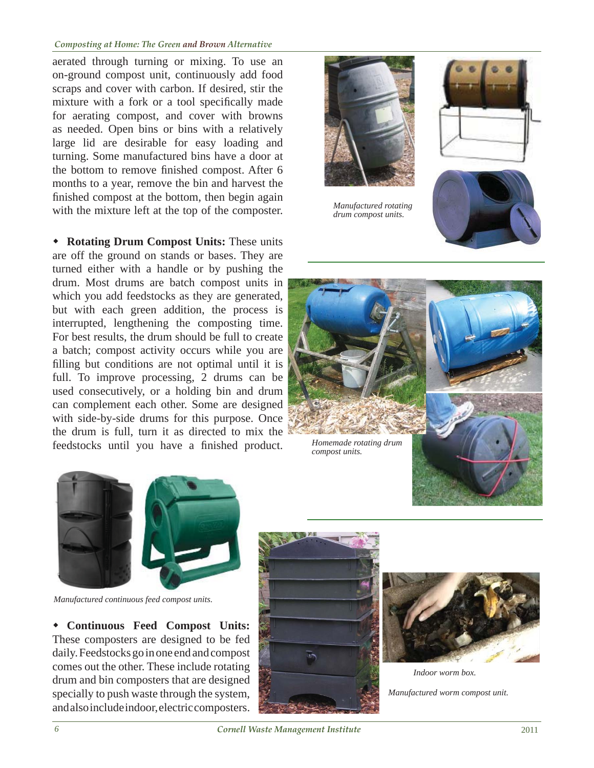#### *Composting at Home: The Green and Brown Alternative*

aerated through turning or mixing. To use an on-ground compost unit, continuously add food scraps and cover with carbon. If desired, stir the mixture with a fork or a tool specifically made for aerating compost, and cover with browns as needed. Open bins or bins with a relatively large lid are desirable for easy loading and turning. Some manufactured bins have a door at the bottom to remove finished compost. After 6 months to a year, remove the bin and harvest the finished compost at the bottom, then begin again with the mixture left at the top of the composter.

 **Rotating Drum Compost Units:** These units are off the ground on stands or bases. They are turned either with a handle or by pushing the drum. Most drums are batch compost units in which you add feedstocks as they are generated, but with each green addition, the process is interrupted, lengthening the composting time. For best results, the drum should be full to create a batch; compost activity occurs while you are filling but conditions are not optimal until it is full. To improve processing, 2 drums can be used consecutively, or a holding bin and drum can complement each other. Some are designed with side-by-side drums for this purpose. Once the drum is full, turn it as directed to mix the feedstocks until you have a finished product.



*Manufactured rotating drum compost units.*





*Homemade rotating drum compost units.*



*Manufactured continuous feed compost units.*

 **Continuous Feed Compost Units:** These composters are designed to be fed daily. Feedstocks go in one end and compost comes out the other. These include rotating drum and bin composters that are designed specially to push waste through the system, and also include indoor, electric composters.





*Manufactured worm compost unit. Indoor worm box.*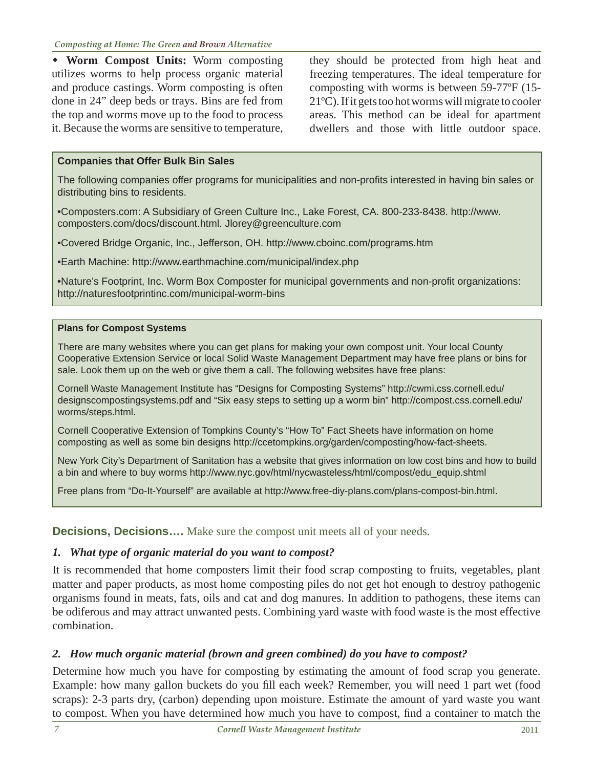**Worm Compost Units:** Worm composting utilizes worms to help process organic material and produce castings. Worm composting is often done in 24" deep beds or trays. Bins are fed from the top and worms move up to the food to process it. Because the worms are sensitive to temperature, they should be protected from high heat and freezing temperatures. The ideal temperature for composting with worms is between 59-77ºF (15- 21ºC). If it gets too hot worms will migrate to cooler areas. This method can be ideal for apartment dwellers and those with little outdoor space.

## **Companies that Offer Bulk Bin Sales**

The following companies offer programs for municipalities and non-profits interested in having bin sales or distributing bins to residents.

[• Composters.com: A Subsidiary of Green Culture Inc., Lake Forest, CA. 800-233-8438. http://www.](http://www.composters.com/docs/discount.html) composters.com/docs/discount.html. Jlorey@greenculture.com

• Covered Bridge Organic, Inc., Jefferson, OH. http://www.cboinc.com/programs.htm

• Earth Machine: http://www.earthmachine.com/municipal/index.php

• Nature's Footprint, Inc. Worm Box Composter for municipal governments and non-profit organizations: http://naturesfootprintinc.com/municipal-worm-bins

### **Plans for Compost Systems**

There are many websites where you can get plans for making your own compost unit. Your local County Cooperative Extension Service or local Solid Waste Management Department may have free plans or bins for sale. Look them up on the web or give them a call. The following websites have free plans:

Cornell Waste Management Institute has "Designs for Composting Systems" http://cwmi.css.cornell.edu/ [designscompostingsystems.pdf and "Six easy steps to setting up a worm bin" http://compost.css.cornell.](http://cwmi.css.cornell.edu/designscompostingsystems.pdf)[edu/](http://compost.css.cornell.edu/worms/steps.html) worms/steps.html.

Cornell Cooperative Extension of Tompkins County's "How To" Fact Sheets have information on home composting as well as some bin designs http://ccetompkins.org/garden/composting/how-fact-sheets.

New York City's Department of Sanitation has a website that gives information on low cost bins and how to build a bin and where to buy worms http://www.nyc.gov/html/nycwasteless/html/compost/edu\_equip.shtml

Free plans from "Do-It-Yourself" are available at http://www.free-diy-plans.com/plans-compost-bin.html.

**Decisions, Decisions....** Make sure the compost unit meets all of your needs.

# *1. What type of organic material do you want to compost?*

It is recommended that home composters limit their food scrap composting to fruits, vegetables, plant matter and paper products, as most home composting piles do not get hot enough to destroy pathogenic organisms found in meats, fats, oils and cat and dog manures. In addition to pathogens, these items can be odiferous and may attract unwanted pests. Combining yard waste with food waste is the most effective combination.

# *2. How much organic material (brown and green combined) do you have to compost?*

Determine how much you have for composting by estimating the amount of food scrap you generate. Example: how many gallon buckets do you fill each week? Remember, you will need 1 part wet (food scraps): 2-3 parts dry, (carbon) depending upon moisture. Estimate the amount of yard waste you want to compost. When you have determined how much you have to compost, find a container to match the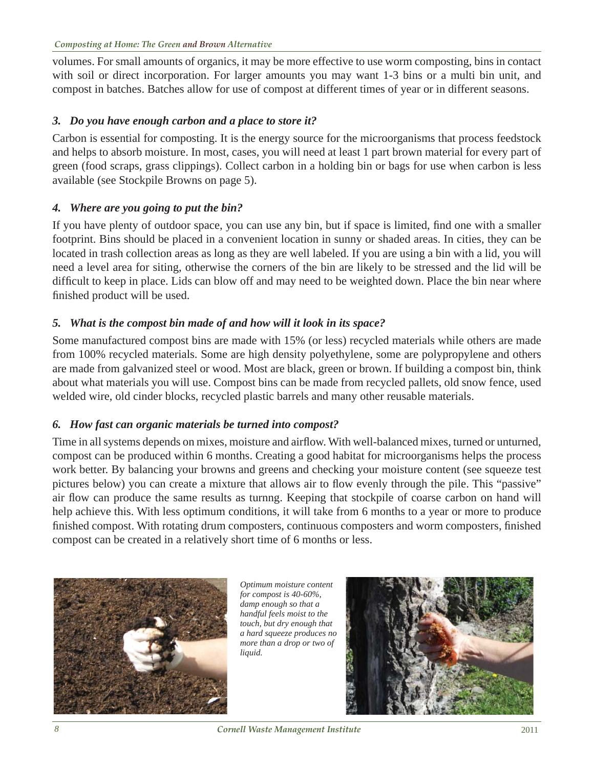volumes. For small amounts of organics, it may be more effective to use worm composting, bins in contact with soil or direct incorporation. For larger amounts you may want 1-3 bins or a multi bin unit, and compost in batches. Batches allow for use of compost at different times of year or in different seasons.

# *3. Do you have enough carbon and a place to store it?*

Carbon is essential for composting. It is the energy source for the microorganisms that process feedstock and helps to absorb moisture. In most, cases, you will need at least 1 part brown material for every part of green (food scraps, grass clippings). Collect carbon in a holding bin or bags for use when carbon is less available (see Stockpile Browns on page 5).

# *4. Where are you going to put the bin?*

If you have plenty of outdoor space, you can use any bin, but if space is limited, find one with a smaller footprint. Bins should be placed in a convenient location in sunny or shaded areas. In cities, they can be located in trash collection areas as long as they are well labeled. If you are using a bin with a lid, you will need a level area for siting, otherwise the corners of the bin are likely to be stressed and the lid will be difficult to keep in place. Lids can blow off and may need to be weighted down. Place the bin near where finished product will be used.

# *5. What is the compost bin made of and how will it look in its space?*

Some manufactured compost bins are made with 15% (or less) recycled materials while others are made from 100% recycled materials. Some are high density polyethylene, some are polypropylene and others are made from galvanized steel or wood. Most are black, green or brown. If building a compost bin, think about what materials you will use. Compost bins can be made from recycled pallets, old snow fence, used welded wire, old cinder blocks, recycled plastic barrels and many other reusable materials.

# *6. How fast can organic materials be turned into compost?*

Time in all systems depends on mixes, moisture and airflow. With well-balanced mixes, turned or unturned, compost can be produced within 6 months. Creating a good habitat for microorganisms helps the process work better. By balancing your browns and greens and checking your moisture content (see squeeze test pictures below) you can create a mixture that allows air to flow evenly through the pile. This "passive" air flow can produce the same results as turnng. Keeping that stockpile of coarse carbon on hand will help achieve this. With less optimum conditions, it will take from 6 months to a year or more to produce finished compost. With rotating drum composters, continuous composters and worm composters, finished compost can be created in a relatively short time of 6 months or less.



*Optimum moisture content for compost is 40-60%, damp enough so that a handful feels moist to the touch, but dry enough that a hard squeeze produces no more than a drop or two of liquid.*

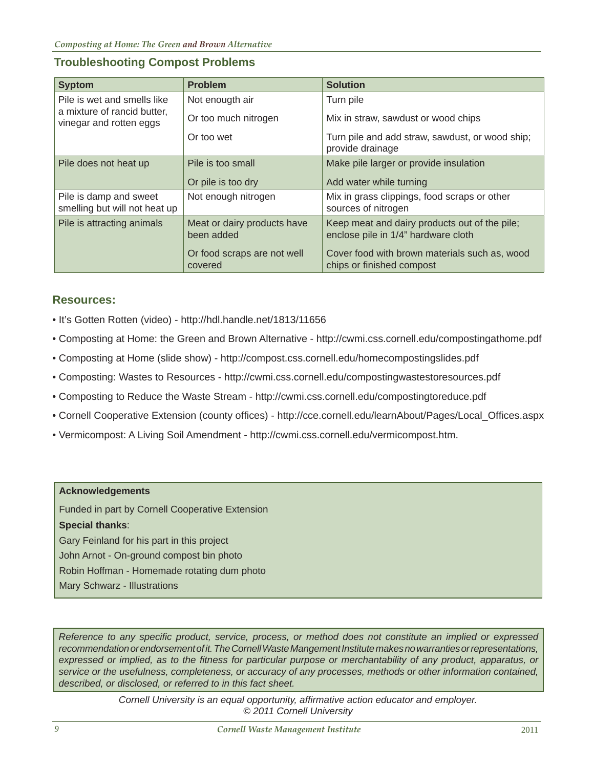# **Troubleshooting Compost Problems**

| <b>Syptom</b>                                              | <b>Problem</b>                            | <b>Solution</b>                                                                      |  |  |  |  |  |  |  |
|------------------------------------------------------------|-------------------------------------------|--------------------------------------------------------------------------------------|--|--|--|--|--|--|--|
| Pile is wet and smells like<br>a mixture of rancid butter, | Not enougth air                           | Turn pile                                                                            |  |  |  |  |  |  |  |
| vinegar and rotten eggs                                    | Or too much nitrogen                      | Mix in straw, sawdust or wood chips                                                  |  |  |  |  |  |  |  |
|                                                            | Or too wet                                | Turn pile and add straw, sawdust, or wood ship;<br>provide drainage                  |  |  |  |  |  |  |  |
| Pile does not heat up                                      | Pile is too small                         | Make pile larger or provide insulation                                               |  |  |  |  |  |  |  |
|                                                            | Or pile is too dry                        | Add water while turning                                                              |  |  |  |  |  |  |  |
| Pile is damp and sweet<br>smelling but will not heat up    | Not enough nitrogen                       | Mix in grass clippings, food scraps or other<br>sources of nitrogen                  |  |  |  |  |  |  |  |
| Pile is attracting animals                                 | Meat or dairy products have<br>been added | Keep meat and dairy products out of the pile;<br>enclose pile in 1/4" hardware cloth |  |  |  |  |  |  |  |
|                                                            | Or food scraps are not well<br>covered    | Cover food with brown materials such as, wood<br>chips or finished compost           |  |  |  |  |  |  |  |

# **Resources:**

- It's Gotten Rotten (video) http://hdl.handle.net/1813/11656
- Composting at Home: the Green and Brown Alternative http://cwmi.css.cornell.edu/compostingathome.pdf
- Composting at Home (slide show) http://compost.css.cornell.edu/homecompostingslides.pdf
- Composting: Wastes to Resources http://cwmi.css.cornell.edu/compostingwastestoresources.pdf
- Composting to Reduce the Waste Stream http://cwmi.css.cornell.edu/compostingtoreduce.pdf
- Cornell Cooperative Extension (county offices) [http://cce.cornell.edu/learnAbout/Pages/Local\\_Of](http://cce.cornell.edu/learnAbout/Pages/Local_Offices.aspx)fices.aspx
- Vermicompost: A Living Soil Amendment http://cwmi.css.cornell.edu/vermicompost.htm.

#### **Acknowledgements**

Funded in part by Cornell Cooperative Extension **Special thanks**: Gary Feinland for his part in this project John Arnot - On-ground compost bin photo Robin Hoffman - Homemade rotating dum photo Mary Schwarz - Illustrations

*Reference to any specifi c product, service, process, or method does not constitute an implied or expressed*  recommendation or endorsement of it. The Cornell Waste Mangement Institute makes no warranties or representations, *expressed or implied, as to the fi tness for particular purpose or merchantability of any product, apparatus, or service or the usefulness, completeness, or accuracy of any processes, methods or other information contained, described, or disclosed, or referred to in this fact sheet.*

> *Cornell University is an equal opportunity, affi rmative action educator and employer. © 2011 Cornell University*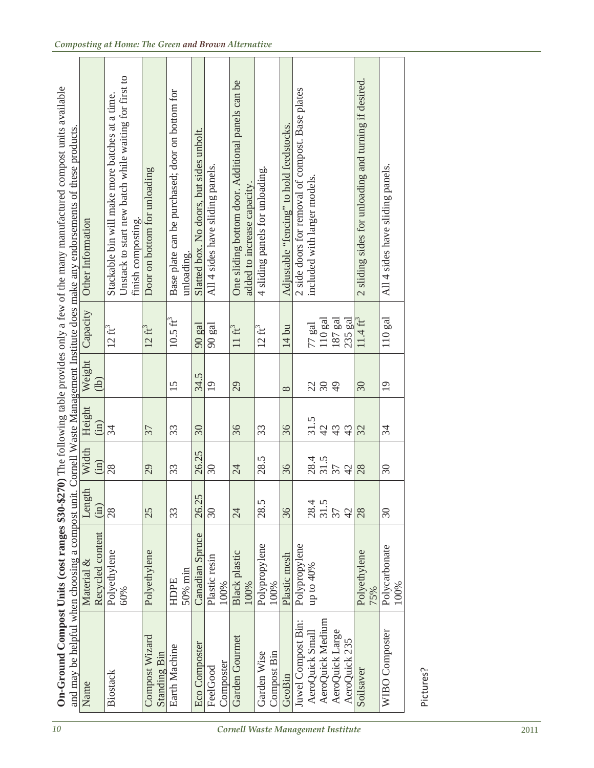| 10                                 | and may be helpful when choosing a compost unit. |                              |                             |                          |          |                          |                                    | On-Ground Compost Units (cost ranges \$30-\$270) The following table provides only a few of the many manufactured compost units available<br>Cornell Waste Management Institute does make any endorsements of these products. |
|------------------------------------|--------------------------------------------------|------------------------------|-----------------------------|--------------------------|----------|--------------------------|------------------------------------|-------------------------------------------------------------------------------------------------------------------------------------------------------------------------------------------------------------------------------|
|                                    | Name                                             | Material &                   | $\overline{a}$<br>Length    | Width                    | Height   | Weight<br>$\overline{1}$ | Capacity                           | Other Information                                                                                                                                                                                                             |
|                                    |                                                  | Recycled content             | (in)                        | (in)                     | (in)     |                          |                                    |                                                                                                                                                                                                                               |
|                                    | Biostack                                         | Polyethylene<br>60%          | 28                          | 28                       | 34       |                          | $12\text{ ft}^3$                   | Unstack to start new batch while waiting for first to<br>Stackable bin will make more batches at a time.<br>finish composting                                                                                                 |
|                                    | Compost Wizard<br>Standing Bin                   | Polyethylene                 | 25                          | 29                       | 37       |                          | $12 \text{ ft}^3$                  | Door on bottom for unloading                                                                                                                                                                                                  |
|                                    | Earth Machine                                    | 50% min<br>HDPE              | 33                          | 33                       | 33       | 15                       | $10.5 \text{ ft}^3$                | Base plate can be purchased; door on bottom for<br>unloading.                                                                                                                                                                 |
|                                    | <b>Eco Composter</b>                             | Canadian Spruce              | 26.25                       | 26.25                    | 30       | 34.5                     | 90 gal                             | Slatted box. No doors, but sides unbolt.                                                                                                                                                                                      |
|                                    | FeelGood                                         | Plastic resin                | $30\,$                      | $\mathfrak{S}0$          |          | $\overline{19}$          | gal<br>$\infty$                    | All 4 sides have sliding panels                                                                                                                                                                                               |
|                                    | Composter                                        | 100%                         |                             |                          |          |                          |                                    |                                                                                                                                                                                                                               |
| Cornell Waste Management Institute | Garden Gourmet                                   | <b>Black</b> plastic<br>100% | $\overline{24}$             | $\overline{24}$          | 36       | 29                       | $11~\mathrm{ft}^3$                 | One sliding bottom door. Additional panels can be<br>added to increase capacity.                                                                                                                                              |
|                                    | Garden Wise                                      | Polypropylene                | 28.5                        | 28.5                     | 33       |                          | $12 \text{ ft}^3$                  | 4 sliding panels for unloading.                                                                                                                                                                                               |
|                                    | Compost Bin                                      | 100%                         |                             |                          |          |                          |                                    |                                                                                                                                                                                                                               |
|                                    | GeoBin                                           | Plastic mesh                 | 36                          | 36                       | 36       | $\infty$                 | $14 \text{ bu}$                    | Adjustable "fencing" to hold feedstocks                                                                                                                                                                                       |
|                                    | Juwel Compost Bin:                               | Polypropylene                |                             |                          |          |                          |                                    | 2 side doors for removal of compost. Base plates                                                                                                                                                                              |
|                                    | AeroQuick Small                                  | up to $40\%$                 | 28.4                        | 28.4<br>31.5             | 31.5     | 289                      | $77~\mathrm{gal}$                  | included with larger models.                                                                                                                                                                                                  |
|                                    | AeroQuick Medium                                 |                              | 31.5                        |                          | $42$     |                          | $110\ \mathrm{gal}$                |                                                                                                                                                                                                                               |
|                                    | AeroQuick Large<br>AeroQuick 235                 |                              | 37<br>42                    | 37<br>42                 | 43<br>43 |                          | $187\ \mathrm{gal}$<br>हुवु<br>235 |                                                                                                                                                                                                                               |
|                                    | Soilsaver                                        | Polyethylene<br>75%          | 28                          | 28                       | 32       | 30 <sup>°</sup>          | $11.4 \text{ ft}^3$                | sliding sides for unloading and turning if desired<br>$\overline{\mathcal{C}}$                                                                                                                                                |
|                                    | WIBO Composter                                   | Polycarbonate<br>100%        | $\mathcal{S}^{\mathcal{O}}$ | $\overline{\mathcal{E}}$ | 34       | $\overline{0}$           | gal<br>110                         | All 4 sides have sliding panels.                                                                                                                                                                                              |
|                                    | Pictures?                                        |                              |                             |                          |          |                          |                                    |                                                                                                                                                                                                                               |
| 2011                               |                                                  |                              |                             |                          |          |                          |                                    |                                                                                                                                                                                                                               |

| On-Ground Compost Units (cost ranges \$30-\$270) The following table provides only a few of the many manufactured compost units availation-<br>ost unit. Cornell Waste Management Institute does make any endorsements of these products.<br>and may be helpful when choosing a con | Other Informat<br>Weight   C<br>$\overline{a}$<br>Width Height W<br>ؘؚؚۣ<br>$\ddot{\cdot}$<br>$\Delta n$ nt<br>$\ddot{\bm{z}}$<br>ecvcled conte |
|-------------------------------------------------------------------------------------------------------------------------------------------------------------------------------------------------------------------------------------------------------------------------------------|-------------------------------------------------------------------------------------------------------------------------------------------------|
|-------------------------------------------------------------------------------------------------------------------------------------------------------------------------------------------------------------------------------------------------------------------------------------|-------------------------------------------------------------------------------------------------------------------------------------------------|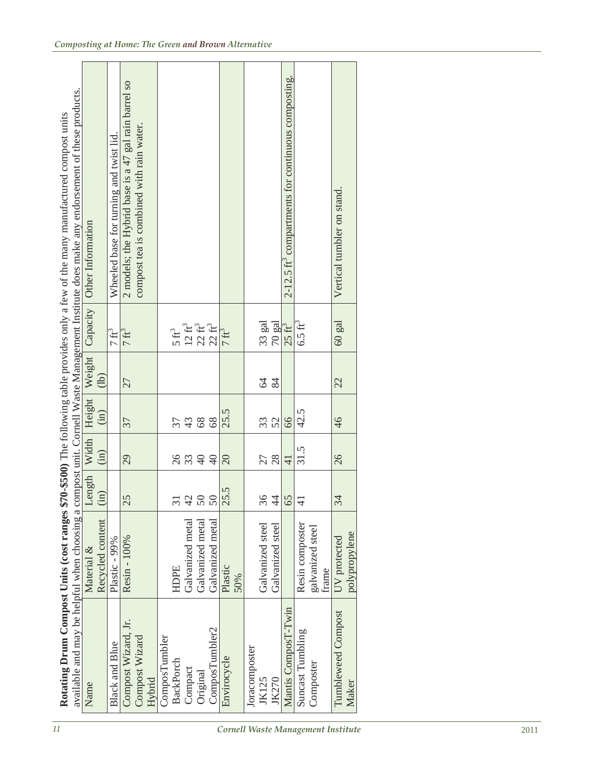| $\mathcal{I}$                      | Rotating Drum Compost Units (cost ranges \$7    |                                      |                        |                |              |                |                                        | available and may be helpful when choosing a compost unit. Cornell Waste Management Institute does make any endorsement of these products<br>0-\$500) The following table provides only a few of the many manufactured compost units |
|------------------------------------|-------------------------------------------------|--------------------------------------|------------------------|----------------|--------------|----------------|----------------------------------------|--------------------------------------------------------------------------------------------------------------------------------------------------------------------------------------------------------------------------------------|
|                                    | Name                                            | Material &                           | Length                 | Width          | Height       | Weight         | Capacity                               | Other Information                                                                                                                                                                                                                    |
|                                    |                                                 | Recycled content                     | (in)                   | (in)           | (in)         | $\overline{1}$ |                                        |                                                                                                                                                                                                                                      |
|                                    | <b>Black and Blue</b>                           | Plastic - 99%                        |                        |                |              |                | $7 \text{ ft}^3$                       | Wheeled base for turning and twist lid.                                                                                                                                                                                              |
|                                    | Compost Wizard, Jr.<br>Compost Wizard<br>Hybrid | Resin - 100%                         | 25                     | 29             | 37           | 27             | $7 \text{ ft}^3$                       | 2 models; the Hybrid base is a 47 gal rain barrel so<br>compost tea is combined with rain water.                                                                                                                                     |
|                                    | ComposTumbler<br><b>BackPorch</b>               | HDPE                                 | $\overline{31}$        |                | 37           |                | $5\,\mathrm{ft}^3$                     |                                                                                                                                                                                                                                      |
|                                    | Compact                                         | Galvanized metal                     | $\overline{4}$         | 8.89           | $43$         |                | $12~\mathrm{ft}^3$                     |                                                                                                                                                                                                                                      |
|                                    | ComposTumbler2<br>Original                      | Galvanized metal<br>Galvanized metal | $\overline{50}$        | $\Theta$       | $68\,$<br>68 |                | $22 \, \rm{ft}^3$<br>$22 \text{ ft}^3$ |                                                                                                                                                                                                                                      |
| Cornell Waste Management Institute | Envirocycle                                     | Plastic<br>50%                       | S.<br>$50\overline{)}$ | $\Omega$       | 25.5         |                | $7 \text{ ft}^3$                       |                                                                                                                                                                                                                                      |
|                                    | Joracomposter                                   |                                      |                        |                |              |                |                                        |                                                                                                                                                                                                                                      |
|                                    | <b>JK125</b><br><b>JK270</b>                    | Galvanized steel<br>Galvanized steel | 36<br>$\ddot{4}$       | 28<br>27       | 52<br>33     | 22             | 33 gal<br>$70$ gal                     |                                                                                                                                                                                                                                      |
|                                    | Mantis ComposT-Twin                             |                                      | 65                     | $\overline{4}$ | 66           |                | $25 \text{ ft}^3$                      | 2-12.5 ft' compartments for continuous composting.                                                                                                                                                                                   |
|                                    | Suncast Tumbling                                | Resin composter                      | $\overline{4}$         | 31.5           | 42.5         |                | $6.5 \text{ ft}^3$                     |                                                                                                                                                                                                                                      |
|                                    | Composter                                       | galvanized steel<br>frame            |                        |                |              |                |                                        |                                                                                                                                                                                                                                      |
|                                    | Tumbleweed Compost<br>Maker                     | polypropylene<br>UV protected        | 34                     | 26             | 46           | 22             | $60~\mathrm{gal}$                      | Vertical tumbler on stand                                                                                                                                                                                                            |
|                                    |                                                 |                                      |                        |                |              |                |                                        |                                                                                                                                                                                                                                      |
| 2011                               |                                                 |                                      |                        |                |              |                |                                        |                                                                                                                                                                                                                                      |